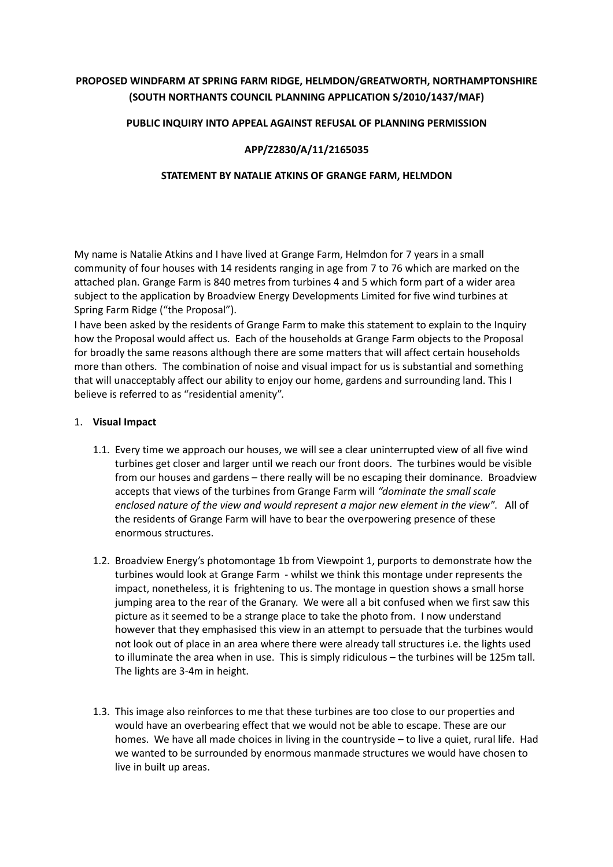# **PROPOSED WINDFARM AT SPRING FARM RIDGE, HELMDON/GREATWORTH, NORTHAMPTONSHIRE (SOUTH NORTHANTS COUNCIL PLANNING APPLICATION S/2010/1437/MAF)**

### **PUBLIC INQUIRY INTO APPEAL AGAINST REFUSAL OF PLANNING PERMISSION**

### **APP/Z2830/A/11/2165035**

#### **STATEMENT BY NATALIE ATKINS OF GRANGE FARM, HELMDON**

My name is Natalie Atkins and I have lived at Grange Farm, Helmdon for 7 years in a small community of four houses with 14 residents ranging in age from 7 to 76 which are marked on the attached plan. Grange Farm is 840 metres from turbines 4 and 5 which form part of a wider area subject to the application by Broadview Energy Developments Limited for five wind turbines at Spring Farm Ridge ("the Proposal").

I have been asked by the residents of Grange Farm to make this statement to explain to the Inquiry how the Proposal would affect us. Each of the households at Grange Farm objects to the Proposal for broadly the same reasons although there are some matters that will affect certain households more than others. The combination of noise and visual impact for us is substantial and something that will unacceptably affect our ability to enjoy our home, gardens and surrounding land. This I believe is referred to as "residential amenity".

#### 1. **Visual Impact**

- 1.1. Every time we approach our houses, we will see a clear uninterrupted view of all five wind turbines get closer and larger until we reach our front doors. The turbines would be visible from our houses and gardens – there really will be no escaping their dominance. Broadview accepts that views of the turbines from Grange Farm will *"dominate the small scale enclosed nature of the view and would represent a major new element in the view*". All of the residents of Grange Farm will have to bear the overpowering presence of these enormous structures.
- 1.2. Broadview Energy's photomontage 1b from Viewpoint 1, purports to demonstrate how the turbines would look at Grange Farm - whilst we think this montage under represents the impact, nonetheless, it is frightening to us. The montage in question shows a small horse jumping area to the rear of the Granary. We were all a bit confused when we first saw this picture as it seemed to be a strange place to take the photo from. I now understand however that they emphasised this view in an attempt to persuade that the turbines would not look out of place in an area where there were already tall structures i.e. the lights used to illuminate the area when in use. This is simply ridiculous – the turbines will be 125m tall. The lights are 3-4m in height.
- 1.3. This image also reinforces to me that these turbines are too close to our properties and would have an overbearing effect that we would not be able to escape. These are our homes. We have all made choices in living in the countryside – to live a quiet, rural life. Had we wanted to be surrounded by enormous manmade structures we would have chosen to live in built up areas.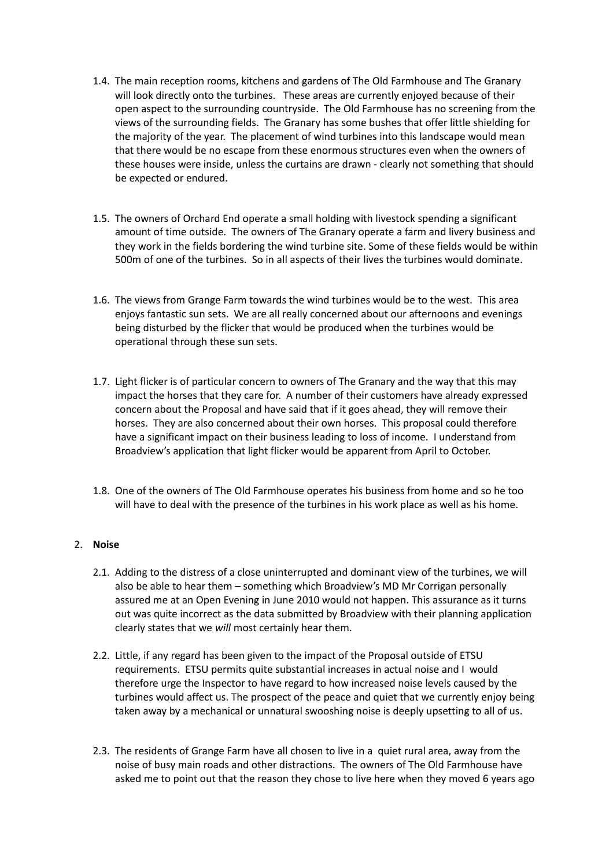- 1.4. The main reception rooms, kitchens and gardens of The Old Farmhouse and The Granary will look directly onto the turbines. These areas are currently enjoyed because of their open aspect to the surrounding countryside. The Old Farmhouse has no screening from the views of the surrounding fields. The Granary has some bushes that offer little shielding for the majority of the year. The placement of wind turbines into this landscape would mean that there would be no escape from these enormous structures even when the owners of these houses were inside, unless the curtains are drawn - clearly not something that should be expected or endured.
- 1.5. The owners of Orchard End operate a small holding with livestock spending a significant amount of time outside. The owners of The Granary operate a farm and livery business and they work in the fields bordering the wind turbine site. Some of these fields would be within 500m of one of the turbines. So in all aspects of their lives the turbines would dominate.
- 1.6. The views from Grange Farm towards the wind turbines would be to the west. This area enjoys fantastic sun sets. We are all really concerned about our afternoons and evenings being disturbed by the flicker that would be produced when the turbines would be operational through these sun sets.
- 1.7. Light flicker is of particular concern to owners of The Granary and the way that this may impact the horses that they care for. A number of their customers have already expressed concern about the Proposal and have said that if it goes ahead, they will remove their horses. They are also concerned about their own horses. This proposal could therefore have a significant impact on their business leading to loss of income. I understand from Broadview's application that light flicker would be apparent from April to October.
- 1.8. One of the owners of The Old Farmhouse operates his business from home and so he too will have to deal with the presence of the turbines in his work place as well as his home.

# 2. **Noise**

- 2.1. Adding to the distress of a close uninterrupted and dominant view of the turbines, we will also be able to hear them – something which Broadview's MD Mr Corrigan personally assured me at an Open Evening in June 2010 would not happen. This assurance as it turns out was quite incorrect as the data submitted by Broadview with their planning application clearly states that we *will* most certainly hear them.
- 2.2. Little, if any regard has been given to the impact of the Proposal outside of ETSU requirements. ETSU permits quite substantial increases in actual noise and I would therefore urge the Inspector to have regard to how increased noise levels caused by the turbines would affect us. The prospect of the peace and quiet that we currently enjoy being taken away by a mechanical or unnatural swooshing noise is deeply upsetting to all of us.
- 2.3. The residents of Grange Farm have all chosen to live in a quiet rural area, away from the noise of busy main roads and other distractions. The owners of The Old Farmhouse have asked me to point out that the reason they chose to live here when they moved 6 years ago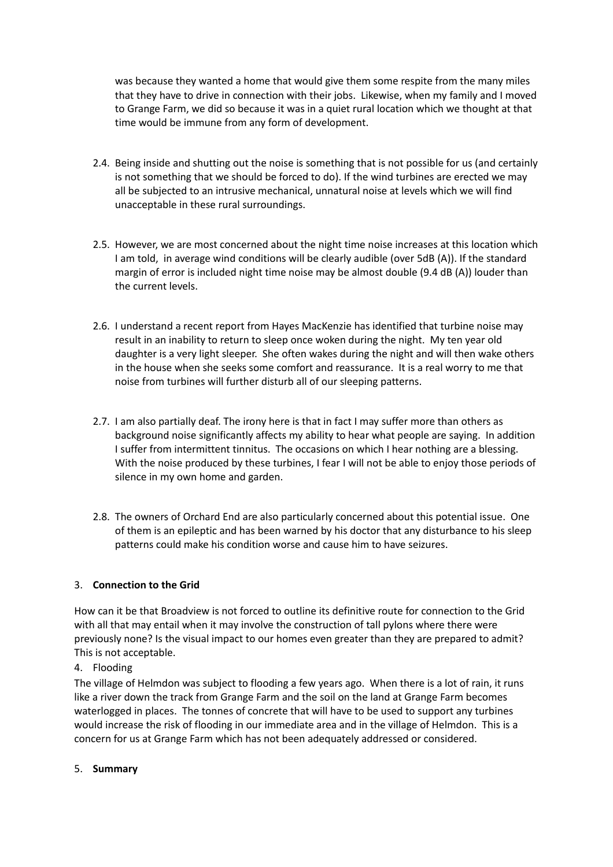was because they wanted a home that would give them some respite from the many miles that they have to drive in connection with their jobs. Likewise, when my family and I moved to Grange Farm, we did so because it was in a quiet rural location which we thought at that time would be immune from any form of development.

- 2.4. Being inside and shutting out the noise is something that is not possible for us (and certainly is not something that we should be forced to do). If the wind turbines are erected we may all be subjected to an intrusive mechanical, unnatural noise at levels which we will find unacceptable in these rural surroundings.
- 2.5. However, we are most concerned about the night time noise increases at this location which I am told, in average wind conditions will be clearly audible (over 5dB (A)). If the standard margin of error is included night time noise may be almost double (9.4 dB (A)) louder than the current levels.
- 2.6. I understand a recent report from Hayes MacKenzie has identified that turbine noise may result in an inability to return to sleep once woken during the night. My ten year old daughter is a very light sleeper. She often wakes during the night and will then wake others in the house when she seeks some comfort and reassurance. It is a real worry to me that noise from turbines will further disturb all of our sleeping patterns.
- 2.7. I am also partially deaf. The irony here is that in fact I may suffer more than others as background noise significantly affects my ability to hear what people are saying. In addition I suffer from intermittent tinnitus. The occasions on which I hear nothing are a blessing. With the noise produced by these turbines, I fear I will not be able to enjoy those periods of silence in my own home and garden.
- 2.8. The owners of Orchard End are also particularly concerned about this potential issue. One of them is an epileptic and has been warned by his doctor that any disturbance to his sleep patterns could make his condition worse and cause him to have seizures.

# 3. **Connection to the Grid**

How can it be that Broadview is not forced to outline its definitive route for connection to the Grid with all that may entail when it may involve the construction of tall pylons where there were previously none? Is the visual impact to our homes even greater than they are prepared to admit? This is not acceptable.

# 4. Flooding

The village of Helmdon was subject to flooding a few years ago. When there is a lot of rain, it runs like a river down the track from Grange Farm and the soil on the land at Grange Farm becomes waterlogged in places. The tonnes of concrete that will have to be used to support any turbines would increase the risk of flooding in our immediate area and in the village of Helmdon. This is a concern for us at Grange Farm which has not been adequately addressed or considered.

5. **Summary**